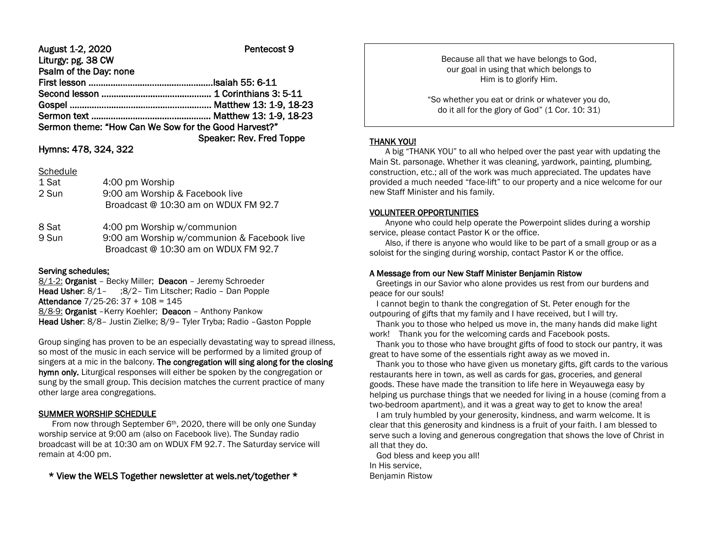## August 1-2, 2020 Pentecost 9

| $MSEU - 2, 2V2V$                                     | י טוונטטטע ט             |  |  |  |
|------------------------------------------------------|--------------------------|--|--|--|
| Liturgy: pg. 38 CW                                   |                          |  |  |  |
| Psalm of the Day: none                               |                          |  |  |  |
|                                                      |                          |  |  |  |
|                                                      |                          |  |  |  |
|                                                      |                          |  |  |  |
|                                                      |                          |  |  |  |
| Sermon theme: "How Can We Sow for the Good Harvest?" |                          |  |  |  |
|                                                      | Speaker: Rev. Fred Toppe |  |  |  |
|                                                      |                          |  |  |  |

# Hymns: 478, 324, 322

|  | Schedule |  |  |
|--|----------|--|--|
|  |          |  |  |

| 1 Sat | 4:00 pm Worship                      |
|-------|--------------------------------------|
| 2 Sun | 9:00 am Worship & Facebook live      |
|       | Broadcast @ 10:30 am on WDUX FM 92.7 |

8 Sat 4:00 pm Worship w/communion

9 Sun 9:00 am Worship w/communion & Facebook live Broadcast @ 10:30 am on WDUX FM 92.7

# Serving schedules:

8/1-2: Organist – Becky Miller; Deacon – Jeremy Schroeder Head Usher: 8/1– ;8/2– Tim Litscher; Radio – Dan Popple Attendance 7/25-26: 37 + 108 = 145 8/8-9: Organist –Kerry Koehler; Deacon – Anthony Pankow Head Usher: 8/8– Justin Zielke; 8/9– Tyler Tryba; Radio –Gaston Popple

Group singing has proven to be an especially devastating way to spread illness, so most of the music in each service will be performed by a limited group of singers at a mic in the balcony. The congregation will sing along for the closing hymn only. Liturgical responses will either be spoken by the congregation or sung by the small group. This decision matches the current practice of many other large area congregations.

# SUMMER WORSHIP SCHEDULE

From now through September 6<sup>th</sup>, 2020, there will be only one Sunday worship service at 9:00 am (also on Facebook live). The Sunday radio broadcast will be at 10:30 am on WDUX FM 92.7. The Saturday service will remain at 4:00 pm.

\* View the WELS Together newsletter at wels.net/together \*

Because all that we have belongs to God, our goal in using that which belongs to Him is to glorify Him.

"So whether you eat or drink or whatever you do, do it all for the glory of God" (1 Cor. 10: 31)

# THANK YOU!

 A big "THANK YOU" to all who helped over the past year with updating the Main St. parsonage. Whether it was cleaning, yardwork, painting, plumbing, construction, etc.; all of the work was much appreciated. The updates have provided a much needed "face-lift" to our property and a nice welcome for our new Staff Minister and his family.

#### VOLUNTEER OPPORTUNITIES

 Anyone who could help operate the Powerpoint slides during a worship service, please contact Pastor K or the office.

 Also, if there is anyone who would like to be part of a small group or as a soloist for the singing during worship, contact Pastor K or the office.

## A Message from our New Staff Minister Benjamin Ristow

 Greetings in our Savior who alone provides us rest from our burdens and peace for our souls!

 I cannot begin to thank the congregation of St. Peter enough for the outpouring of gifts that my family and I have received, but I will try.

 Thank you to those who helped us move in, the many hands did make light work! Thank you for the welcoming cards and Facebook posts.

 Thank you to those who have brought gifts of food to stock our pantry, it was great to have some of the essentials right away as we moved in.

 Thank you to those who have given us monetary gifts, gift cards to the various restaurants here in town, as well as cards for gas, groceries, and general goods. These have made the transition to life here in Weyauwega easy by helping us purchase things that we needed for living in a house (coming from a two-bedroom apartment), and it was a great way to get to know the area!

 I am truly humbled by your generosity, kindness, and warm welcome. It is clear that this generosity and kindness is a fruit of your faith. I am blessed to serve such a loving and generous congregation that shows the love of Christ in all that they do.

 God bless and keep you all! In His service, Benjamin Ristow